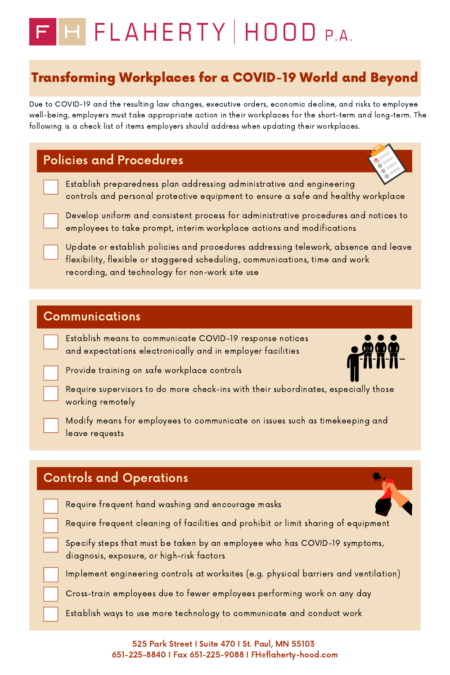- - Establish preparedness plan addressing administrative and engineering controls and personal protective equipment to ensure a safe and healthy workplace



Develop uniform and consistent process for administrative procedures and notices to employees to take prompt, interim workplace actions and modifications

Update or establish policies and procedures addressing telework, absence and leave flexibility, flexible or staggered scheduling, communications, time and work recording, and technology for non-work site use

Due to COVID-19 and the resulting law changes, executive orders, economic decline, and risks to employee well-being, employers must take appropriate action in their workplaces for the short-term and long-term. The following is a check list of items employers should address when updating their workplaces.

# FHFLAHERTY | HOOD P.A.

## Transforming Workplaces for a COVID-19 World and Beyond

### Policies and Procedures

525 Park Street I Suite 470 I St. Paul, MN 55103 651-225-8840 I Fax 651-225-9088 I FH@flaherty-hood.com

#### Communications

- 
- Establish means to communicate COVID-19 response notices and expectations electronically and in employer facilities
- Provide training on safe workplace controls





Require supervisors to do more check-ins with their subordinates, especially those working remotely



Modify means for employees to communicate on issues such as timekeeping and leave requests







Implement engineering controls at worksites (e.g. physical barriers and ventilation)



Cross-train employees due to fewer employees performing work on any day



Establish ways to use more technology to communicate and conduct work

### Controls and Operations